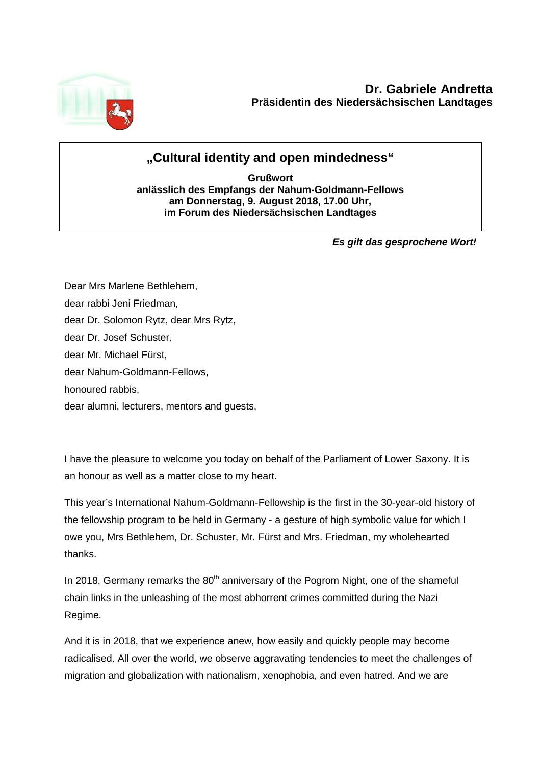

## **"Cultural identity and open mindedness"**

**Grußwort anlässlich des Empfangs der Nahum-Goldmann-Fellows am Donnerstag, 9. August 2018, 17.00 Uhr, im Forum des Niedersächsischen Landtages**

*Es gilt das gesprochene Wort!*

Dear Mrs Marlene Bethlehem, dear rabbi Jeni Friedman, dear Dr. Solomon Rytz, dear Mrs Rytz, dear Dr. Josef Schuster*,* dear Mr. Michael Fürst, dear Nahum-Goldmann-Fellows, honoured rabbis, dear alumni, lecturers, mentors and guests,

I have the pleasure to welcome you today on behalf of the Parliament of Lower Saxony. It is an honour as well as a matter close to my heart.

This year's International Nahum-Goldmann-Fellowship is the first in the 30-year-old history of the fellowship program to be held in Germany - a gesture of high symbolic value for which I owe you, Mrs Bethlehem, Dr. Schuster, Mr. Fürst and Mrs. Friedman, my wholehearted thanks.

In 2018, Germany remarks the  $80<sup>th</sup>$  anniversary of the Pogrom Night, one of the shameful chain links in the unleashing of the most abhorrent crimes committed during the Nazi Regime.

And it is in 2018, that we experience anew, how easily and quickly people may become radicalised. All over the world, we observe aggravating tendencies to meet the challenges of migration and globalization with nationalism, xenophobia, and even hatred. And we are